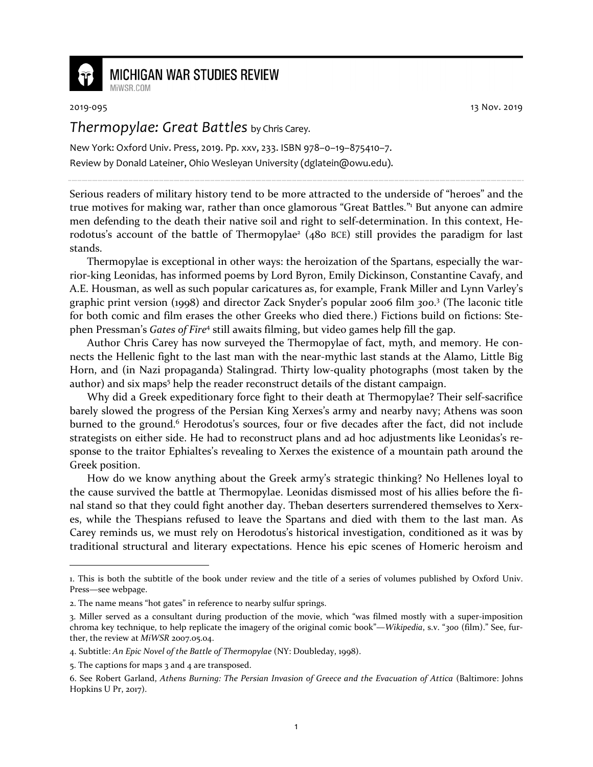

## **MICHIGAN WAR STUDIES REVIEW**

2019-095 13 Nov. 2019

## *Thermopylae: Great Battles* by Chris Carey.

New York: Oxford Univ. Press, 2019. Pp. xxv, 233. ISBN 978–0–19–875410–7. Review by Donald Lateiner, Ohio Wesleyan University (dglatein@owu.edu).

Serious readers of military history tend to be more attracted to the underside of "heroes" and the true motives for making war, rather than once glamorous "Great Battles."<sup>1</sup> But anyone can admire men defending to the death their native soil and right to self-determination. In this context, Herodotus's account of the battle of Thermopylae<sup>2</sup> (480 BCE) still provides the paradigm for last stands.

Thermopylae is exceptional in other ways: the heroization of the Spartans, especially the warrior-king Leonidas, has informed poems by Lord Byron, Emily Dickinson, Constantine Cavafy, and A.E. Housman, as well as such popular caricatures as, for example, Frank Miller and Lynn Varley's graphic print version (1998) and director Zack Snyder's popular 2006 film *300*. 3 (The laconic title for both comic and film erases the other Greeks who died there.) Fictions build on fictions: Stephen Pressman's *Gates of Fire*<sup>4</sup> still awaits filming, but video games help fill the gap.

Author Chris Carey has now surveyed the Thermopylae of fact, myth, and memory. He connects the Hellenic fight to the last man with the near-mythic last stands at the Alamo, Little Big Horn, and (in Nazi propaganda) Stalingrad. Thirty low-quality photographs (most taken by the author) and six maps<sup>5</sup> help the reader reconstruct details of the distant campaign.

Why did a Greek expeditionary force fight to their death at Thermopylae? Their self-sacrifice barely slowed the progress of the Persian King Xerxes's army and nearby navy; Athens was soon burned to the ground.<sup>6</sup> Herodotus's sources, four or five decades after the fact, did not include strategists on either side. He had to reconstruct plans and ad hoc adjustments like Leonidas's response to the traitor Ephialtes's revealing to Xerxes the existence of a mountain path around the Greek position.

How do we know anything about the Greek army's strategic thinking? No Hellenes loyal to the cause survived the battle at Thermopylae. Leonidas dismissed most of his allies before the final stand so that they could fight another day. Theban deserters surrendered themselves to Xerxes, while the Thespians refused to leave the Spartans and died with them to the last man. As Carey reminds us, we must rely on Herodotus's historical investigation, conditioned as it was by traditional structural and literary expectations. Hence his epic scenes of Homeric heroism and

<sup>1.</sup> This is both the subtitle of the book under review and the title of a series of volumes published by Oxford Univ. Press—see webpage.

<sup>2.</sup> The name means "hot gates" in reference to nearby sulfur springs.

<sup>3.</sup> Miller served as a consultant during production of the movie, which "was filmed mostly with a super-imposition chroma key technique, to help replicate the imagery of the original comic book"—*Wikipedia*, s.v. "*300* (film)." See, further, the review at *MiWSR* 2007.05.04.

<sup>4.</sup> Subtitle: *An Epic Novel of the Battle of Thermopylae* (NY: Doubleday, 1998).

<sup>5.</sup> The captions for maps 3 and 4 are transposed.

<sup>6.</sup> See Robert Garland, *Athens Burning: The Persian Invasion of Greece and the Evacuation of Attica* (Baltimore: Johns Hopkins U Pr, 2017).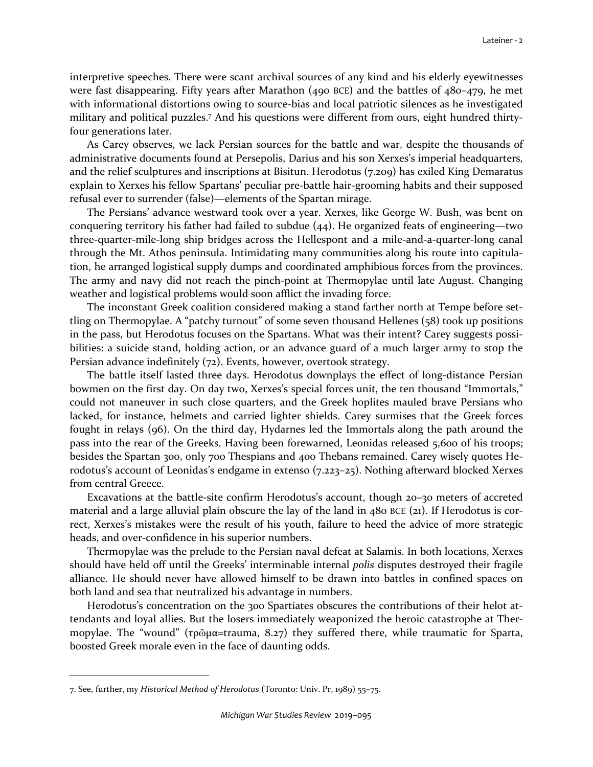interpretive speeches. There were scant archival sources of any kind and his elderly eyewitnesses were fast disappearing. Fifty years after Marathon (490 BCE) and the battles of 480–479, he met with informational distortions owing to source-bias and local patriotic silences as he investigated military and political puzzles.<sup>7</sup> And his questions were different from ours, eight hundred thirtyfour generations later.

As Carey observes, we lack Persian sources for the battle and war, despite the thousands of administrative documents found at Persepolis, Darius and his son Xerxes's imperial headquarters, and the relief sculptures and inscriptions at Bisitun. Herodotus (7.209) has exiled King Demaratus explain to Xerxes his fellow Spartans' peculiar pre-battle hair-grooming habits and their supposed refusal ever to surrender (false)—elements of the Spartan mirage.

The Persians' advance westward took over a year. Xerxes, like George W. Bush, was bent on conquering territory his father had failed to subdue (44). He organized feats of engineering—two three-quarter-mile-long ship bridges across the Hellespont and a mile-and-a-quarter-long canal through the Mt. Athos peninsula. Intimidating many communities along his route into capitulation, he arranged logistical supply dumps and coordinated amphibious forces from the provinces. The army and navy did not reach the pinch-point at Thermopylae until late August. Changing weather and logistical problems would soon afflict the invading force.

The inconstant Greek coalition considered making a stand farther north at Tempe before settling on Thermopylae. A "patchy turnout" of some seven thousand Hellenes (58) took up positions in the pass, but Herodotus focuses on the Spartans. What was their intent? Carey suggests possibilities: a suicide stand, holding action, or an advance guard of a much larger army to stop the Persian advance indefinitely (72). Events, however, overtook strategy.

The battle itself lasted three days. Herodotus downplays the effect of long-distance Persian bowmen on the first day. On day two, Xerxes's special forces unit, the ten thousand "Immortals," could not maneuver in such close quarters, and the Greek hoplites mauled brave Persians who lacked, for instance, helmets and carried lighter shields. Carey surmises that the Greek forces fought in relays (96). On the third day, Hydarnes led the Immortals along the path around the pass into the rear of the Greeks. Having been forewarned, Leonidas released 5,600 of his troops; besides the Spartan 300, only 700 Thespians and 400 Thebans remained. Carey wisely quotes Herodotus's account of Leonidas's endgame in extenso (7.223–25). Nothing afterward blocked Xerxes from central Greece.

Excavations at the battle-site confirm Herodotus's account, though 20–30 meters of accreted material and a large alluvial plain obscure the lay of the land in 480 BCE (21). If Herodotus is correct, Xerxes's mistakes were the result of his youth, failure to heed the advice of more strategic heads, and over-confidence in his superior numbers.

Thermopylae was the prelude to the Persian naval defeat at Salamis. In both locations, Xerxes should have held off until the Greeks' interminable internal *polis* disputes destroyed their fragile alliance. He should never have allowed himself to be drawn into battles in confined spaces on both land and sea that neutralized his advantage in numbers.

Herodotus's concentration on the 300 Spartiates obscures the contributions of their helot attendants and loyal allies. But the losers immediately weaponized the heroic catastrophe at Thermopylae. The "wound" (τρῶμα=trauma, 8.27) they suffered there, while traumatic for Sparta, boosted Greek morale even in the face of daunting odds.

<sup>7.</sup> See, further, my *Historical Method of Herodotus* (Toronto: Univ. Pr, 1989) 55–75.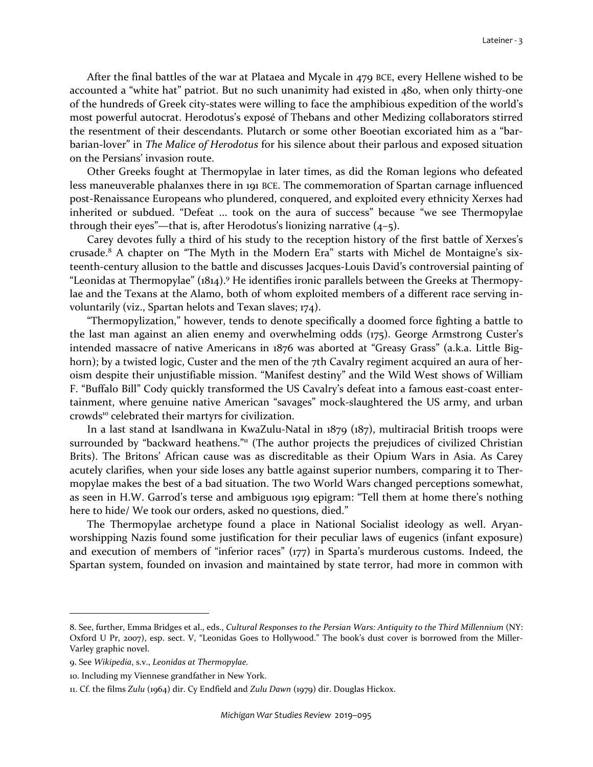After the final battles of the war at Plataea and Mycale in 479 BCE, every Hellene wished to be accounted a "white hat" patriot. But no such unanimity had existed in 480, when only thirty-one of the hundreds of Greek city-states were willing to face the amphibious expedition of the world's most powerful autocrat. Herodotus's exposé of Thebans and other Medizing collaborators stirred the resentment of their descendants. Plutarch or some other Boeotian excoriated him as a "barbarian-lover" in *The Malice of Herodotus* for his silence about their parlous and exposed situation on the Persians' invasion route.

Other Greeks fought at Thermopylae in later times, as did the Roman legions who defeated less maneuverable phalanxes there in 191 BCE. The commemoration of Spartan carnage influenced post-Renaissance Europeans who plundered, conquered, and exploited every ethnicity Xerxes had inherited or subdued. "Defeat ... took on the aura of success" because "we see Thermopylae through their eyes"—that is, after Herodotus's lionizing narrative (4–5).

Carey devotes fully a third of his study to the reception history of the first battle of Xerxes's crusade.<sup>8</sup> A chapter on "The Myth in the Modern Era" starts with Michel de Montaigne's sixteenth-century allusion to the battle and discusses Jacques-Louis David's controversial painting of "Leonidas at Thermopylae" (1814).<sup>9</sup> He identifies ironic parallels between the Greeks at Thermopylae and the Texans at the Alamo, both of whom exploited members of a different race serving involuntarily (viz., Spartan helots and Texan slaves; 174).

"Thermopylization," however, tends to denote specifically a doomed force fighting a battle to the last man against an alien enemy and overwhelming odds (175). George Armstrong Custer's intended massacre of native Americans in 1876 was aborted at "Greasy Grass" (a.k.a. Little Bighorn); by a twisted logic, Custer and the men of the 7th Cavalry regiment acquired an aura of heroism despite their unjustifiable mission. "Manifest destiny" and the Wild West shows of William F. "Buffalo Bill" Cody quickly transformed the US Cavalry's defeat into a famous east-coast entertainment, where genuine native American "savages" mock-slaughtered the US army, and urban crowds<sup>10</sup> celebrated their martyrs for civilization.

In a last stand at Isandlwana in KwaZulu-Natal in 1879 (187), multiracial British troops were surrounded by "backward heathens."<sup>11</sup> (The author projects the prejudices of civilized Christian Brits). The Britons' African cause was as discreditable as their Opium Wars in Asia. As Carey acutely clarifies, when your side loses any battle against superior numbers, comparing it to Thermopylae makes the best of a bad situation. The two World Wars changed perceptions somewhat, as seen in H.W. Garrod's terse and ambiguous 1919 epigram: "Tell them at home there's nothing here to hide/ We took our orders, asked no questions, died."

The Thermopylae archetype found a place in National Socialist ideology as well. Aryanworshipping Nazis found some justification for their peculiar laws of eugenics (infant exposure) and execution of members of "inferior races" (177) in Sparta's murderous customs. Indeed, the Spartan system, founded on invasion and maintained by state terror, had more in common with

<sup>8.</sup> See, further, Emma Bridges et al., eds., *Cultural Responses to the Persian Wars: Antiquity to the Third Millennium* (NY: Oxford U Pr, 2007), esp. sect. V, "Leonidas Goes to Hollywood." The book's dust cover is borrowed from the Miller-Varley graphic novel.

<sup>9.</sup> See *Wikipedia*, s.v., *Leonidas at Thermopylae.*

<sup>10.</sup> Including my Viennese grandfather in New York.

<sup>11.</sup> Cf. the films *Zulu* (1964) dir. Cy Endfield and *Zulu Dawn* (1979) dir. Douglas Hickox.